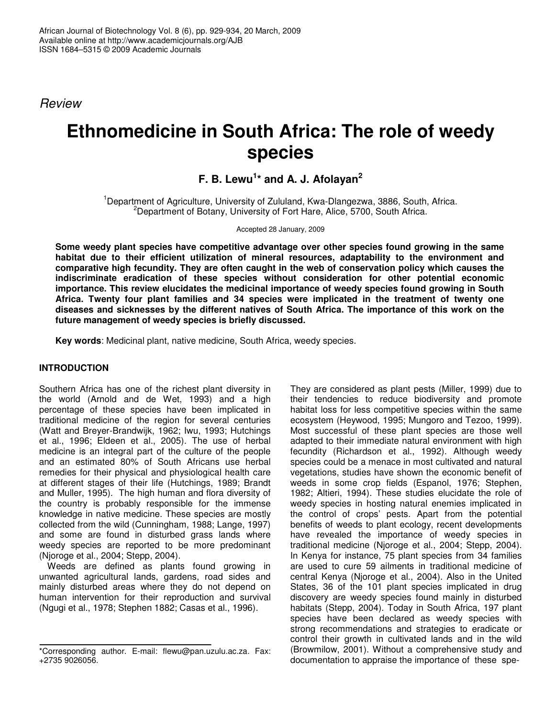*Review*

# **Ethnomedicine in South Africa: The role of weedy species**

**F. B. Lewu 1 \* and A. J. Afolayan 2**

<sup>1</sup>Department of Agriculture, University of Zululand, Kwa-Dlangezwa, 3886, South, Africa. <sup>2</sup>Department of Botany, University of Fort Hare, Alice, 5700, South Africa.

Accepted 28 January, 2009

**Some weedy plant species have competitive advantage over other species found growing in the same habitat due to their efficient utilization of mineral resources, adaptability to the environment and comparative high fecundity. They are often caught in the web of conservation policy which causes the indiscriminate eradication of these species without consideration for other potential economic importance. This review elucidates the medicinal importance of weedy species found growing in South Africa. Twenty four plant families and 34 species were implicated in the treatment of twenty one diseases and sicknesses by the different natives of South Africa. The importance of this work on the future management of weedy species is briefly discussed.**

**Key words**: Medicinal plant, native medicine, South Africa, weedy species.

# **INTRODUCTION**

Southern Africa has one of the richest plant diversity in the world (Arnold and de Wet, 1993) and a high percentage of these species have been implicated in traditional medicine of the region for several centuries (Watt and Breyer-Brandwijk, 1962; Iwu, 1993; Hutchings et al., 1996; Eldeen et al., 2005). The use of herbal medicine is an integral part of the culture of the people and an estimated 80% of South Africans use herbal remedies for their physical and physiological health care at different stages of their life (Hutchings, 1989; Brandt and Muller, 1995). The high human and flora diversity of the country is probably responsible for the immense knowledge in native medicine. These species are mostly collected from the wild (Cunningham, 1988; Lange, 1997) and some are found in disturbed grass lands where weedy species are reported to be more predominant (Njoroge et al., 2004; Stepp, 2004).

Weeds are defined as plants found growing in unwanted agricultural lands, gardens, road sides and mainly disturbed areas where they do not depend on human intervention for their reproduction and survival (Ngugi et al., 1978; Stephen 1882; Casas et al., 1996).

They are considered as plant pests (Miller, 1999) due to their tendencies to reduce biodiversity and promote habitat loss for less competitive species within the same ecosystem (Heywood, 1995; Mungoro and Tezoo, 1999). Most successful of these plant species are those well adapted to their immediate natural environment with high fecundity (Richardson et al., 1992). Although weedy species could be a menace in most cultivated and natural vegetations, studies have shown the economic benefit of weeds in some crop fields (Espanol, 1976; Stephen, 1982; Altieri, 1994). These studies elucidate the role of weedy species in hosting natural enemies implicated in the control of crops' pests. Apart from the potential benefits of weeds to plant ecology, recent developments have revealed the importance of weedy species in traditional medicine (Njoroge et al., 2004; Stepp, 2004). In Kenya for instance, 75 plant species from 34 families are used to cure 59 ailments in traditional medicine of central Kenya (Njoroge et al., 2004). Also in the United States, 36 of the 101 plant species implicated in drug discovery are weedy species found mainly in disturbed habitats (Stepp, 2004). Today in South Africa, 197 plant species have been declared as weedy species with strong recommendations and strategies to eradicate or control their growth in cultivated lands and in the wild (Browmilow, 2001). Without a comprehensive study and documentation to appraise the importance of these spe-

<sup>\*</sup>Corresponding author. E-mail: flewu@pan.uzulu.ac.za*.* Fax: +2735 9026056.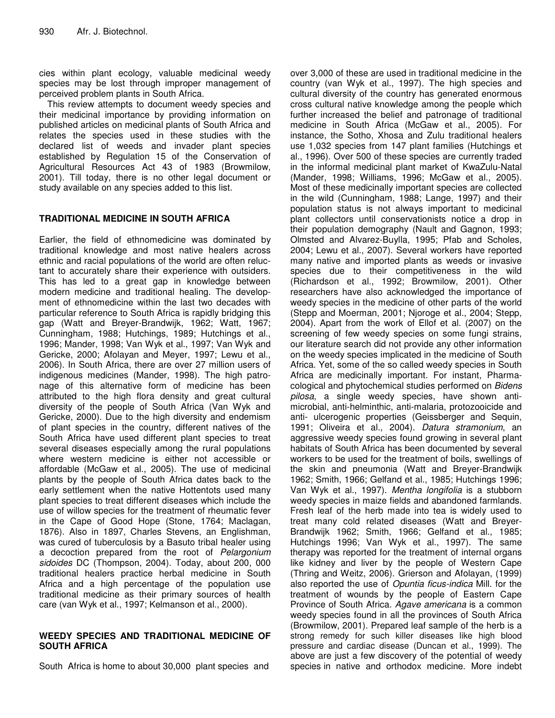cies within plant ecology, valuable medicinal weedy species may be lost through improper management of perceived problem plants in South Africa.

This review attempts to document weedy species and their medicinal importance by providing information on published articles on medicinal plants of South Africa and relates the species used in these studies with the declared list of weeds and invader plant species established by Regulation 15 of the Conservation of Agricultural Resources Act 43 of 1983 (Browmilow, 2001). Till today, there is no other legal document or study available on any species added to this list.

# **TRADITIONAL MEDICINE IN SOUTH AFRICA**

Earlier, the field of ethnomedicine was dominated by traditional knowledge and most native healers across ethnic and racial populations of the world are often reluctant to accurately share their experience with outsiders. This has led to a great gap in knowledge between modern medicine and traditional healing. The development of ethnomedicine within the last two decades with particular reference to South Africa is rapidly bridging this gap (Watt and Breyer-Brandwijk, 1962; Watt, 1967; Cunningham, 1988; Hutchings, 1989; Hutchings et al., 1996; Mander, 1998; Van Wyk et al., 1997; Van Wyk and Gericke, 2000; Afolayan and Meyer, 1997; Lewu et al., 2006). In South Africa, there are over 27 million users of indigenous medicines (Mander, 1998). The high patronage of this alternative form of medicine has been attributed to the high flora density and great cultural diversity of the people of South Africa (Van Wyk and Gericke, 2000). Due to the high diversity and endemism of plant species in the country, different natives of the South Africa have used different plant species to treat several diseases especially among the rural populations where western medicine is either not accessible or affordable (McGaw et al., 2005). The use of medicinal plants by the people of South Africa dates back to the early settlement when the native Hottentots used many plant species to treat different diseases which include the use of willow species for the treatment of rheumatic fever in the Cape of Good Hope (Stone, 1764; Maclagan, 1876). Also in 1897, Charles Stevens, an Englishman, was cured of tuberculosis by a Basuto tribal healer using a decoction prepared from the root of *Pelargonium sidoides* DC (Thompson, 2004). Today, about 200, 000 traditional healers practice herbal medicine in South Africa and a high percentage of the population use traditional medicine as their primary sources of health care (van Wyk et al., 1997; Kelmanson et al., 2000).

## **WEEDY SPECIES AND TRADITIONAL MEDICINE OF SOUTH AFRICA**

South Africa is home to about 30,000 plant species and

over 3,000 of these are used in traditional medicine in the country (van Wyk et al., 1997). The high species and cultural diversity of the country has generated enormous cross cultural native knowledge among the people which further increased the belief and patronage of traditional medicine in South Africa (McGaw et al., 2005). For instance, the Sotho, Xhosa and Zulu traditional healers use 1,032 species from 147 plant families (Hutchings et al., 1996). Over 500 of these species are currently traded in the informal medicinal plant market of KwaZulu-Natal (Mander, 1998; Williams, 1996; McGaw et al., 2005). Most of these medicinally important species are collected in the wild (Cunningham, 1988; Lange, 1997) and their population status is not always important to medicinal plant collectors until conservationists notice a drop in their population demography (Nault and Gagnon, 1993; Olmsted and Alvarez-Buylla, 1995; Pfab and Scholes, 2004; Lewu et al., 2007). Several workers have reported many native and imported plants as weeds or invasive species due to their competitiveness in the wild (Richardson et al., 1992; Browmilow, 2001). Other researchers have also acknowledged the importance of weedy species in the medicine of other parts of the world (Stepp and Moerman, 2001; Njoroge et al., 2004; Stepp, 2004). Apart from the work of Ellof et al. (2007) on the screening of few weedy species on some fungi strains, our literature search did not provide any other information on the weedy species implicated in the medicine of South Africa. Yet, some of the so called weedy species in South Africa are medicinally important. For instant, Pharmacological and phytochemical studies performed on *Bidens pilosa*, a single weedy species, have shown antimicrobial, anti-helminthic, anti-malaria, protozooicide and anti- ulcerogenic properties (Geissberger and Sequin, 1991; Oliveira et al., 2004). *Datura stramonium*, an aggressive weedy species found growing in several plant habitats of South Africa has been documented by several workers to be used for the treatment of boils, swellings of the skin and pneumonia (Watt and Breyer-Brandwijk 1962; Smith, 1966; Gelfand et al., 1985; Hutchings 1996; Van Wyk et al., 1997). *Mentha longifolia* is a stubborn weedy species in maize fields and abandoned farmlands. Fresh leaf of the herb made into tea is widely used to treat many cold related diseases (Watt and Breyer-Brandwijk 1962; Smith, 1966; Gelfand et al., 1985; Hutchings 1996; Van Wyk et al., 1997). The same therapy was reported for the treatment of internal organs like kidney and liver by the people of Western Cape (Thring and Weitz, 2006). Grierson and Afolayan, (1999) also reported the use of *Opuntia ficus-indica* Mill. for the treatment of wounds by the people of Eastern Cape Province of South Africa. *Agave americana* is a common weedy species found in all the provinces of South Africa (Browmilow, 2001). Prepared leaf sample of the herb is a strong remedy for such killer diseases like high blood pressure and cardiac disease (Duncan et al., 1999). The above are just a few discovery of the potential of weedy species in native and orthodox medicine. More indebt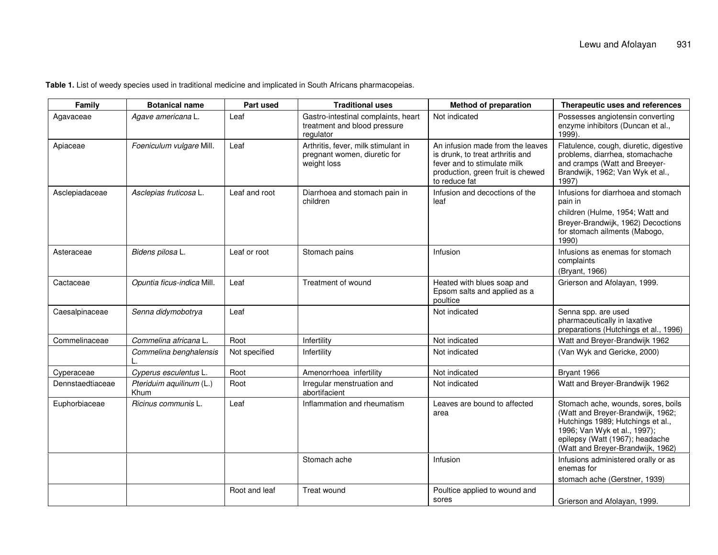**Table 1.** List of weedy species used in traditional medicine and implicated in South Africans pharmacopeias.

| Family           | <b>Botanical name</b>            | Part used     | <b>Traditional uses</b>                                                            | <b>Method of preparation</b>                                                                                                                              | Therapeutic uses and references                                                                                                                                                                                      |
|------------------|----------------------------------|---------------|------------------------------------------------------------------------------------|-----------------------------------------------------------------------------------------------------------------------------------------------------------|----------------------------------------------------------------------------------------------------------------------------------------------------------------------------------------------------------------------|
| Agavaceae        | Agave americana L.               | Leaf          | Gastro-intestinal complaints, heart<br>treatment and blood pressure<br>regulator   | Not indicated                                                                                                                                             | Possesses angiotensin converting<br>enzyme inhibitors (Duncan et al.,<br>1999).                                                                                                                                      |
| Apiaceae         | Foeniculum vulgare Mill.         | Leaf          | Arthritis, fever, milk stimulant in<br>pregnant women, diuretic for<br>weight loss | An infusion made from the leaves<br>is drunk, to treat arthritis and<br>fever and to stimulate milk<br>production, green fruit is chewed<br>to reduce fat | Flatulence, cough, diuretic, digestive<br>problems, diarrhea, stomachache<br>and cramps (Watt and Breeyer-<br>Brandwijk, 1962; Van Wyk et al.,<br>1997)                                                              |
| Asclepiadaceae   | Asclepias fruticosa L.           | Leaf and root | Diarrhoea and stomach pain in<br>children                                          | Infusion and decoctions of the<br>leaf                                                                                                                    | Infusions for diarrhoea and stomach<br>pain in<br>children (Hulme, 1954; Watt and<br>Breyer-Brandwijk, 1962) Decoctions<br>for stomach ailments (Mabogo,<br>1990)                                                    |
| Asteraceae       | Bidens pilosa L.                 | Leaf or root  | Stomach pains                                                                      | Infusion                                                                                                                                                  | Infusions as enemas for stomach<br>complaints<br>(Bryant, 1966)                                                                                                                                                      |
| Cactaceae        | Opuntia ficus-indica Mill.       | Leaf          | Treatment of wound                                                                 | Heated with blues soap and<br>Epsom salts and applied as a<br>poultice                                                                                    | Grierson and Afolayan, 1999.                                                                                                                                                                                         |
| Caesalpinaceae   | Senna didymobotrya               | Leaf          |                                                                                    | Not indicated                                                                                                                                             | Senna spp. are used<br>pharmaceutically in laxative<br>preparations (Hutchings et al., 1996)                                                                                                                         |
| Commelinaceae    | Commelina africana L.            | Root          | Infertility                                                                        | Not indicated                                                                                                                                             | Watt and Breyer-Brandwijk 1962                                                                                                                                                                                       |
|                  | Commelina benghalensis           | Not specified | Infertility                                                                        | Not indicated                                                                                                                                             | (Van Wyk and Gericke, 2000)                                                                                                                                                                                          |
| Cyperaceae       | Cyperus esculentus L.            | Root          | Amenorrhoea infertility                                                            | Not indicated                                                                                                                                             | Bryant 1966                                                                                                                                                                                                          |
| Dennstaedtiaceae | Pteriduim aquilinum (L.)<br>Khum | Root          | Irregular menstruation and<br>abortifacient                                        | Not indicated                                                                                                                                             | Watt and Breyer-Brandwijk 1962                                                                                                                                                                                       |
| Euphorbiaceae    | Ricinus communis L.              | Leaf          | Inflammation and rheumatism                                                        | Leaves are bound to affected<br>area                                                                                                                      | Stomach ache, wounds, sores, boils<br>(Watt and Breyer-Brandwijk, 1962;<br>Hutchings 1989; Hutchings et al.,<br>1996; Van Wyk et al., 1997);<br>epilepsy (Watt (1967); headache<br>(Watt and Breyer-Brandwijk, 1962) |
|                  |                                  |               | Stomach ache                                                                       | Infusion                                                                                                                                                  | Infusions administered orally or as<br>enemas for<br>stomach ache (Gerstner, 1939)                                                                                                                                   |
|                  |                                  | Root and leaf | Treat wound                                                                        | Poultice applied to wound and<br>sores                                                                                                                    | Grierson and Afolayan, 1999.                                                                                                                                                                                         |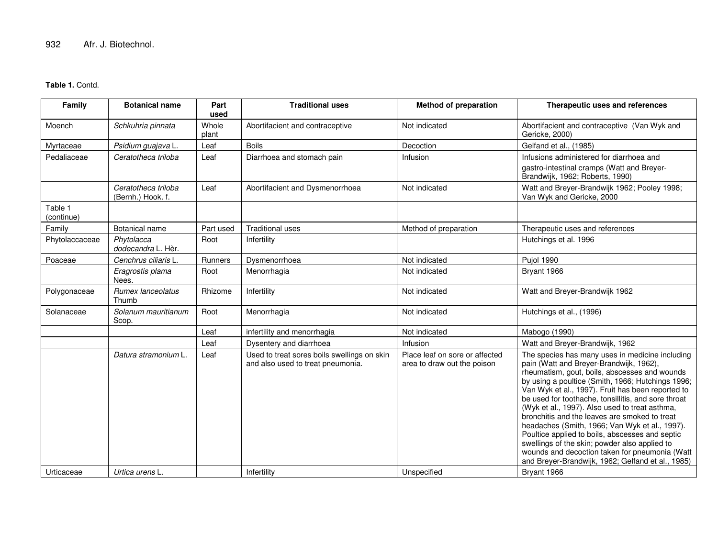#### **Table 1.** Contd.

| Family                | <b>Botanical name</b>                    | Part<br>used   | <b>Traditional uses</b>                                                          | <b>Method of preparation</b>                                  | Therapeutic uses and references                                                                                                                                                                                                                                                                                                                                                                                                                                                                                                                                                                                                                                              |
|-----------------------|------------------------------------------|----------------|----------------------------------------------------------------------------------|---------------------------------------------------------------|------------------------------------------------------------------------------------------------------------------------------------------------------------------------------------------------------------------------------------------------------------------------------------------------------------------------------------------------------------------------------------------------------------------------------------------------------------------------------------------------------------------------------------------------------------------------------------------------------------------------------------------------------------------------------|
| Moench                | Schkuhria pinnata                        | Whole<br>plant | Abortifacient and contraceptive                                                  | Not indicated                                                 | Abortifacient and contraceptive (Van Wyk and<br>Gericke, 2000)                                                                                                                                                                                                                                                                                                                                                                                                                                                                                                                                                                                                               |
| Myrtaceae             | Psidium guajava L.                       | Leaf           | <b>Boils</b>                                                                     | Decoction                                                     | Gelfand et al., (1985)                                                                                                                                                                                                                                                                                                                                                                                                                                                                                                                                                                                                                                                       |
| Pedaliaceae           | Ceratotheca triloba                      | Leaf           | Diarrhoea and stomach pain                                                       | Infusion                                                      | Infusions administered for diarrhoea and<br>gastro-intestinal cramps (Watt and Breyer-<br>Brandwijk, 1962; Roberts, 1990)                                                                                                                                                                                                                                                                                                                                                                                                                                                                                                                                                    |
|                       | Ceratotheca triloba<br>(Bernh.) Hook. f. | Leaf           | Abortifacient and Dysmenorrhoea                                                  | Not indicated                                                 | Watt and Breyer-Brandwijk 1962; Pooley 1998;<br>Van Wyk and Gericke, 2000                                                                                                                                                                                                                                                                                                                                                                                                                                                                                                                                                                                                    |
| Table 1<br>(continue) |                                          |                |                                                                                  |                                                               |                                                                                                                                                                                                                                                                                                                                                                                                                                                                                                                                                                                                                                                                              |
| Family                | Botanical name                           | Part used      | <b>Traditional uses</b>                                                          | Method of preparation                                         | Therapeutic uses and references                                                                                                                                                                                                                                                                                                                                                                                                                                                                                                                                                                                                                                              |
| Phytolaccaceae        | Phytolacca<br>dodecandra L. Hèr.         | Root           | Infertility                                                                      |                                                               | Hutchings et al. 1996                                                                                                                                                                                                                                                                                                                                                                                                                                                                                                                                                                                                                                                        |
| Poaceae               | Cenchrus ciliaris L.                     | Runners        | Dysmenorrhoea                                                                    | Not indicated                                                 | Pujol 1990                                                                                                                                                                                                                                                                                                                                                                                                                                                                                                                                                                                                                                                                   |
|                       | Eragrostis plama<br>Nees.                | Root           | Menorrhagia                                                                      | Not indicated                                                 | Bryant 1966                                                                                                                                                                                                                                                                                                                                                                                                                                                                                                                                                                                                                                                                  |
| Polygonaceae          | Rumex lanceolatus<br>Thumb               | Rhizome        | Infertility                                                                      | Not indicated                                                 | Watt and Breyer-Brandwijk 1962                                                                                                                                                                                                                                                                                                                                                                                                                                                                                                                                                                                                                                               |
| Solanaceae            | Solanum mauritianum<br>Scop.             | Root           | Menorrhagia                                                                      | Not indicated                                                 | Hutchings et al., (1996)                                                                                                                                                                                                                                                                                                                                                                                                                                                                                                                                                                                                                                                     |
|                       |                                          | Leaf           | infertility and menorrhagia                                                      | Not indicated                                                 | Mabogo (1990)                                                                                                                                                                                                                                                                                                                                                                                                                                                                                                                                                                                                                                                                |
|                       |                                          | Leaf           | Dysentery and diarrhoea                                                          | Infusion                                                      | Watt and Breyer-Brandwijk, 1962                                                                                                                                                                                                                                                                                                                                                                                                                                                                                                                                                                                                                                              |
|                       | Datura stramonium L.                     | Leaf           | Used to treat sores boils swellings on skin<br>and also used to treat pneumonia. | Place leaf on sore or affected<br>area to draw out the poison | The species has many uses in medicine including<br>pain (Watt and Breyer-Brandwijk, 1962),<br>rheumatism, gout, boils, abscesses and wounds<br>by using a poultice (Smith, 1966; Hutchings 1996;<br>Van Wyk et al., 1997). Fruit has been reported to<br>be used for toothache, tonsillitis, and sore throat<br>(Wyk et al., 1997). Also used to treat asthma,<br>bronchitis and the leaves are smoked to treat<br>headaches (Smith, 1966; Van Wyk et al., 1997).<br>Poultice applied to boils, abscesses and septic<br>swellings of the skin; powder also applied to<br>wounds and decoction taken for pneumonia (Watt<br>and Breyer-Brandwijk, 1962; Gelfand et al., 1985) |
| Urticaceae            | Urtica urens L.                          |                | Infertility                                                                      | Unspecified                                                   | Bryant 1966                                                                                                                                                                                                                                                                                                                                                                                                                                                                                                                                                                                                                                                                  |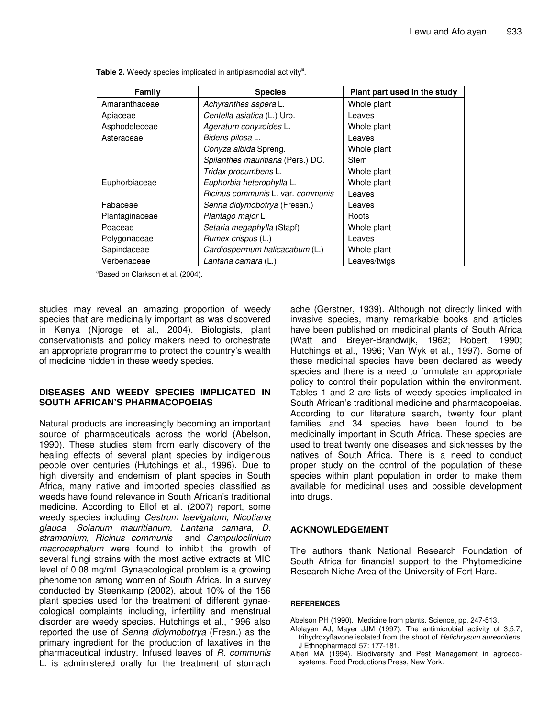| Family         | <b>Species</b>                    | Plant part used in the study |
|----------------|-----------------------------------|------------------------------|
| Amaranthaceae  | Achyranthes aspera L.             | Whole plant                  |
| Apiaceae       | Centella asiatica (L.) Urb.       | Leaves                       |
| Asphodeleceae  | Ageratum conyzoides L.            | Whole plant                  |
| Asteraceae     | Bidens pilosa L.                  | Leaves                       |
|                | Conyza albida Spreng.             | Whole plant                  |
|                | Spilanthes mauritiana (Pers.) DC. | Stem                         |
|                | Tridax procumbens L.              | Whole plant                  |
| Euphorbiaceae  | Euphorbia heterophylla L.         | Whole plant                  |
|                | Ricinus communis L. var. communis | Leaves                       |
| Fabaceae       | Senna didymobotrya (Fresen.)      | Leaves                       |
| Plantaginaceae | Plantago major L.                 | Roots                        |
| Poaceae        | Setaria megaphylla (Stapf)        | Whole plant                  |
| Polygonaceae   | Rumex crispus (L.)                | Leaves                       |
| Sapindaceae    | Cardiospermum halicacabum (L.)    | Whole plant                  |
| Verbenaceae    | Lantana camara (L.)               | Leaves/twigs                 |

Table 2. Weedy species implicated in antiplasmodial activity<sup>a</sup>.

<sup>a</sup>Based on Clarkson et al. (2004).

studies may reveal an amazing proportion of weedy species that are medicinally important as was discovered in Kenya (Njoroge et al., 2004). Biologists, plant conservationists and policy makers need to orchestrate an appropriate programme to protect the country's wealth of medicine hidden in these weedy species.

## **DISEASES AND WEEDY SPECIES IMPLICATED IN SOUTH AFRICAN'S PHARMACOPOEIAS**

Natural products are increasingly becoming an important source of pharmaceuticals across the world (Abelson, 1990). These studies stem from early discovery of the healing effects of several plant species by indigenous people over centuries (Hutchings et al., 1996). Due to high diversity and endemism of plant species in South Africa, many native and imported species classified as weeds have found relevance in South African's traditional medicine. According to Ellof et al. (2007) report, some weedy species including *Cestrum laevigatum, Nicotiana glauca, Solanum mauritianum, Lantana camara*, *D. stramonium*, *Ricinus communis* and *Campuloclinium macrocephalum* were found to inhibit the growth of several fungi strains with the most active extracts at MIC level of 0.08 mg/ml. Gynaecological problem is a growing phenomenon among women of South Africa. In a survey conducted by Steenkamp (2002), about 10% of the 156 plant species used for the treatment of different gynaecological complaints including, infertility and menstrual disorder are weedy species. Hutchings et al., 1996 also reported the use of *Senna didymobotrya* (Fresn.) as the primary ingredient for the production of laxatives in the pharmaceutical industry. Infused leaves of *R. communis* L. is administered orally for the treatment of stomach

ache (Gerstner, 1939). Although not directly linked with invasive species, many remarkable books and articles have been published on medicinal plants of South Africa (Watt and Breyer-Brandwijk, 1962; Robert, 1990; Hutchings et al., 1996; Van Wyk et al., 1997). Some of these medicinal species have been declared as weedy species and there is a need to formulate an appropriate policy to control their population within the environment. Tables 1 and 2 are lists of weedy species implicated in South African's traditional medicine and pharmacopoeias. According to our literature search, twenty four plant families and 34 species have been found to be medicinally important in South Africa. These species are used to treat twenty one diseases and sicknesses by the natives of South Africa. There is a need to conduct proper study on the control of the population of these species within plant population in order to make them available for medicinal uses and possible development into drugs.

## **ACKNOWLEDGEMENT**

The authors thank National Research Foundation of South Africa for financial support to the Phytomedicine Research Niche Area of the University of Fort Hare.

## **REFERENCES**

Abelson PH (1990). Medicine from plants. Science, pp. 247-513.

- Afolayan AJ, Mayer JJM (1997). The antimicrobial activity of 3,5,7, trihydroxyflavone isolated from the shoot of *Helichrysum aureonitens*. J Ethnopharmacol 57: 177-181.
- Altieri MA (1994). Biodiversity and Pest Management in agroecosystems. Food Productions Press, New York.